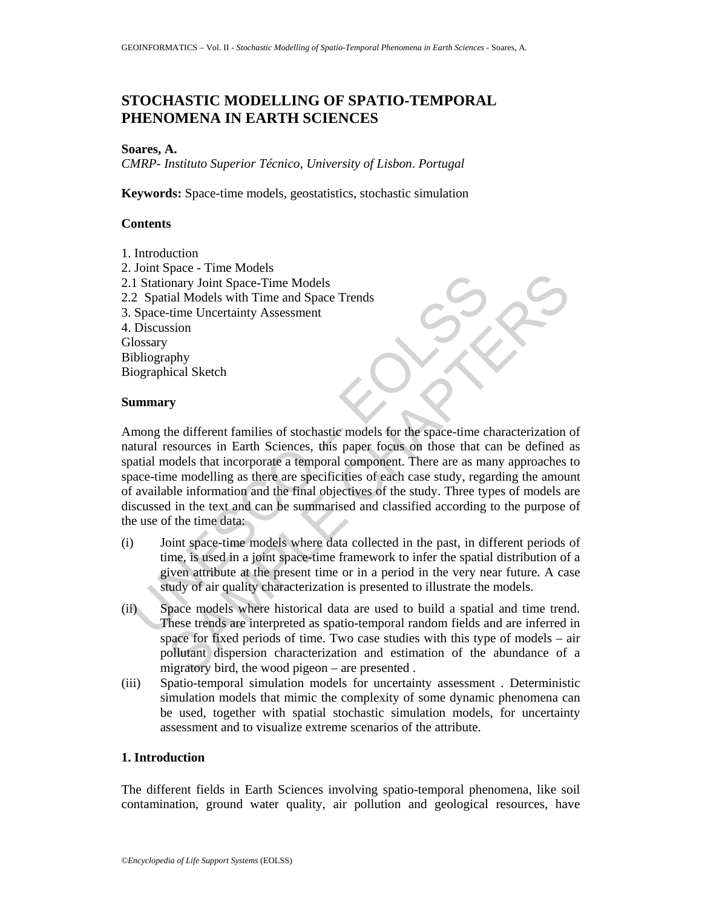# **STOCHASTIC MODELLING OF SPATIO-TEMPORAL PHENOMENA IN EARTH SCIENCES**

#### **Soares, A.**

*CMRP*- *Instituto Superior Técnico*, *University of Lisbon*. *Portugal* 

**Keywords:** Space-time models, geostatistics, stochastic simulation

### **Contents**

1. Introduction 2. Joint Space - Time Models 2.1 Stationary Joint Space-Time Models 2.2 Spatial Models with Time and Space Trends 3. Space-time Uncertainty Assessment 4. Discussion **Glossary** Bibliography Biographical Sketch

#### **Summary**

Contract the particular of the particular and the particular of the space intervals of the space-time Uncertainty Assessment<br>
Discussion<br>
Discussion<br>
Uncertainty Assessment<br>
Uncertainty Assessment<br>
Uncertainty Assessment<br> phare<br>
Interperation in Space-Time Models<br>
inal Models with Time and Space Trends<br>
time Uncertainty Assessment<br>
time Uncertainty Assessment<br>
sison<br>
phy<br>
phy<br>
incial Sketch<br>
Show the different families of stochastic models Among the different families of stochastic models for the space-time characterization of natural resources in Earth Sciences, this paper focus on those that can be defined as spatial models that incorporate a temporal component. There are as many approaches to space-time modelling as there are specificities of each case study, regarding the amount of available information and the final objectives of the study. Three types of models are discussed in the text and can be summarised and classified according to the purpose of the use of the time data:

- (i) Joint space-time models where data collected in the past, in different periods of time, is used in a joint space-time framework to infer the spatial distribution of a given attribute at the present time or in a period in the very near future. A case study of air quality characterization is presented to illustrate the models.
- (ii) Space models where historical data are used to build a spatial and time trend. These trends are interpreted as spatio-temporal random fields and are inferred in space for fixed periods of time. Two case studies with this type of models – air pollutant dispersion characterization and estimation of the abundance of a migratory bird, the wood pigeon – are presented .
- (iii) Spatio-temporal simulation models for uncertainty assessment . Deterministic simulation models that mimic the complexity of some dynamic phenomena can be used, together with spatial stochastic simulation models, for uncertainty assessment and to visualize extreme scenarios of the attribute.

### **1. Introduction**

The different fields in Earth Sciences involving spatio-temporal phenomena, like soil contamination, ground water quality, air pollution and geological resources, have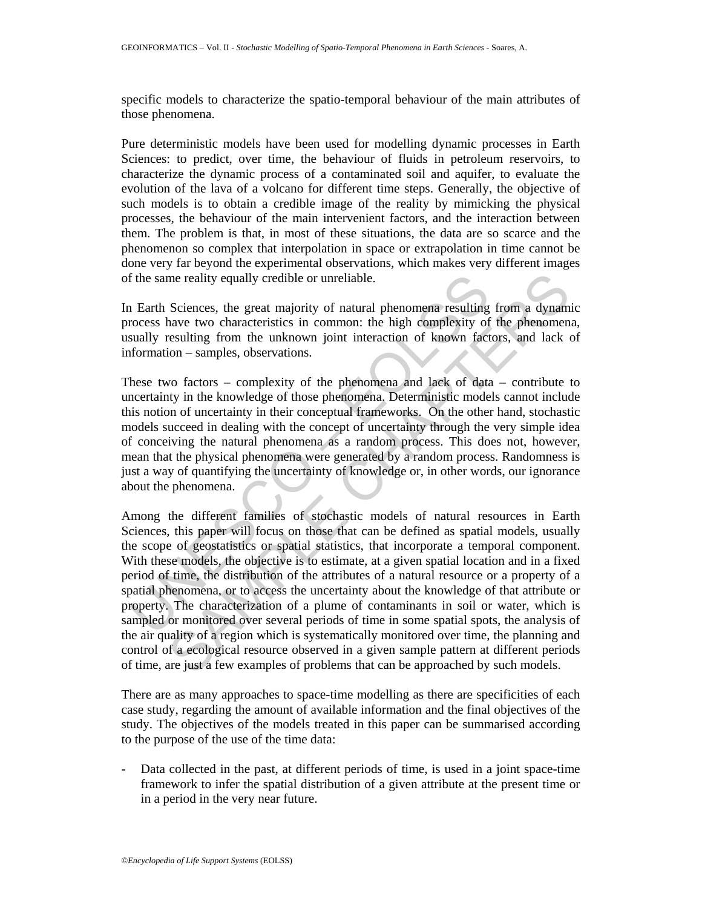specific models to characterize the spatio-temporal behaviour of the main attributes of those phenomena.

Pure deterministic models have been used for modelling dynamic processes in Earth Sciences: to predict, over time, the behaviour of fluids in petroleum reservoirs, to characterize the dynamic process of a contaminated soil and aquifer, to evaluate the evolution of the lava of a volcano for different time steps. Generally, the objective of such models is to obtain a credible image of the reality by mimicking the physical processes, the behaviour of the main intervenient factors, and the interaction between them. The problem is that, in most of these situations, the data are so scarce and the phenomenon so complex that interpolation in space or extrapolation in time cannot be done very far beyond the experimental observations, which makes very different images of the same reality equally credible or unreliable.

In Earth Sciences, the great majority of natural phenomena resulting from a dynamic process have two characteristics in common: the high complexity of the phenomena, usually resulting from the unknown joint interaction of known factors, and lack of information – samples, observations.

These two factors – complexity of the phenomena and lack of data – contribute to uncertainty in the knowledge of those phenomena. Deterministic models cannot include this notion of uncertainty in their conceptual frameworks. On the other hand, stochastic models succeed in dealing with the concept of uncertainty through the very simple idea of conceiving the natural phenomena as a random process. This does not, however, mean that the physical phenomena were generated by a random process. Randomness is just a way of quantifying the uncertainty of knowledge or, in other words, our ignorance about the phenomena.

f the same reality equally credible or unreliable.<br>
1 Earth Sciences, the great majority of natural phenomena resulting<br>
rocess have two characteristics in common: the high complexity of<br>
sually resulting from the unknown me reality equally credible or unreliable.<br>Sciences, the great majority of natural phenomena resulting from a dynaminave two characteristics in common: the high complexity of the phenomena-<br>sesulting from the unknown joint Among the different families of stochastic models of natural resources in Earth Sciences, this paper will focus on those that can be defined as spatial models, usually the scope of geostatistics or spatial statistics, that incorporate a temporal component. With these models, the objective is to estimate, at a given spatial location and in a fixed period of time, the distribution of the attributes of a natural resource or a property of a spatial phenomena, or to access the uncertainty about the knowledge of that attribute or property. The characterization of a plume of contaminants in soil or water, which is sampled or monitored over several periods of time in some spatial spots, the analysis of the air quality of a region which is systematically monitored over time, the planning and control of a ecological resource observed in a given sample pattern at different periods of time, are just a few examples of problems that can be approached by such models.

There are as many approaches to space-time modelling as there are specificities of each case study, regarding the amount of available information and the final objectives of the study. The objectives of the models treated in this paper can be summarised according to the purpose of the use of the time data:

Data collected in the past, at different periods of time, is used in a joint space-time framework to infer the spatial distribution of a given attribute at the present time or in a period in the very near future.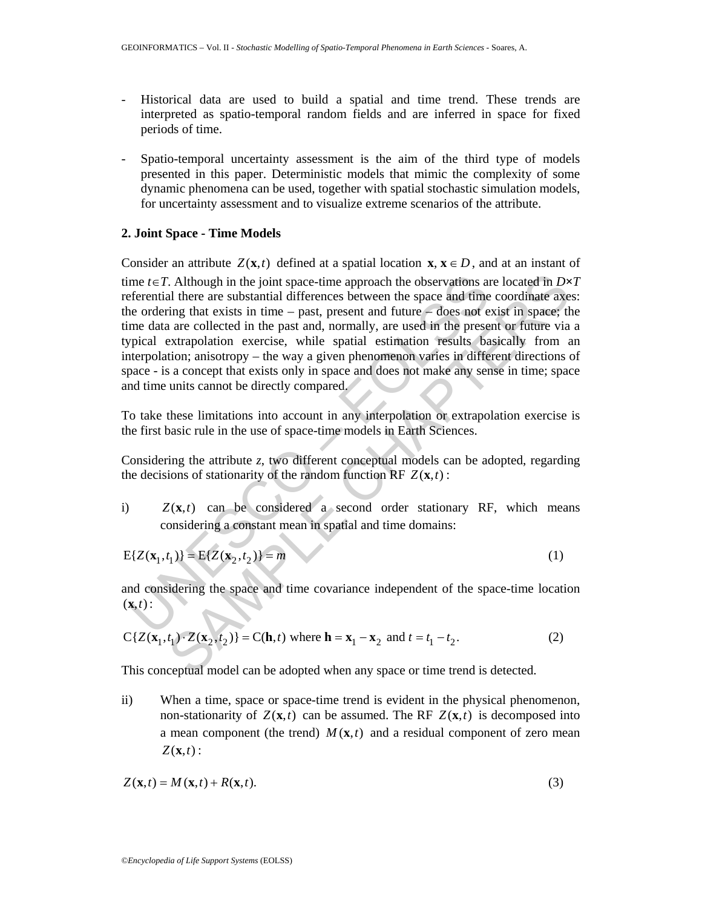- Historical data are used to build a spatial and time trend. These trends are interpreted as spatio-temporal random fields and are inferred in space for fixed periods of time.
- Spatio-temporal uncertainty assessment is the aim of the third type of models presented in this paper. Deterministic models that mimic the complexity of some dynamic phenomena can be used, together with spatial stochastic simulation models, for uncertainty assessment and to visualize extreme scenarios of the attribute.

### **2. Joint Space - Time Models**

me  $t \in T$ . Although in the joint space-time approach the observations and<br>eferential there are substantial differences between the space and time<br>efferential there are substantial differences between the space and time<br>me Extinding in the joint space-time approach the observations are located in  $Dx$ <br>al there are substantial differences between the space and time coordinate axe<br>ing that exists in time – past, present and future – does not Consider an attribute  $Z(\mathbf{x},t)$  defined at a spatial location  $\mathbf{x}, \mathbf{x} \in D$ , and at an instant of time  $t \in T$ . Although in the joint space-time approach the observations are located in  $D \times T$ referential there are substantial differences between the space and time coordinate axes: the ordering that exists in time – past, present and future – does not exist in space; the time data are collected in the past and, normally, are used in the present or future via a typical extrapolation exercise, while spatial estimation results basically from an interpolation; anisotropy – the way a given phenomenon varies in different directions of space - is a concept that exists only in space and does not make any sense in time; space and time units cannot be directly compared.

To take these limitations into account in any interpolation or extrapolation exercise is the first basic rule in the use of space-time models in Earth Sciences.

Considering the attribute *z*, two different conceptual models can be adopted, regarding the decisions of stationarity of the random function RF  $Z(\mathbf{x}, t)$ :

i)  $Z(x,t)$  can be considered a second order stationary RF, which means considering a constant mean in spatial and time domains:

$$
E{Z(\mathbf{x}_1, t_1)} = E{Z(\mathbf{x}_2, t_2)} = m
$$
 (1)

and considering the space and time covariance independent of the space-time location  $(\mathbf{x},t)$  :

$$
C\{Z(\mathbf{x}_1, t_1) \cdot Z(\mathbf{x}_2, t_2)\} = C(\mathbf{h}, t) \text{ where } \mathbf{h} = \mathbf{x}_1 - \mathbf{x}_2 \text{ and } t = t_1 - t_2. \tag{2}
$$

This conceptual model can be adopted when any space or time trend is detected.

ii) When a time, space or space-time trend is evident in the physical phenomenon, non-stationarity of  $Z(\mathbf{x}, t)$  can be assumed. The RF  $Z(\mathbf{x}, t)$  is decomposed into a mean component (the trend)  $M(\mathbf{x}, t)$  and a residual component of zero mean  $Z(\mathbf{x},t)$ :

$$
Z(\mathbf{x},t) = M(\mathbf{x},t) + R(\mathbf{x},t). \tag{3}
$$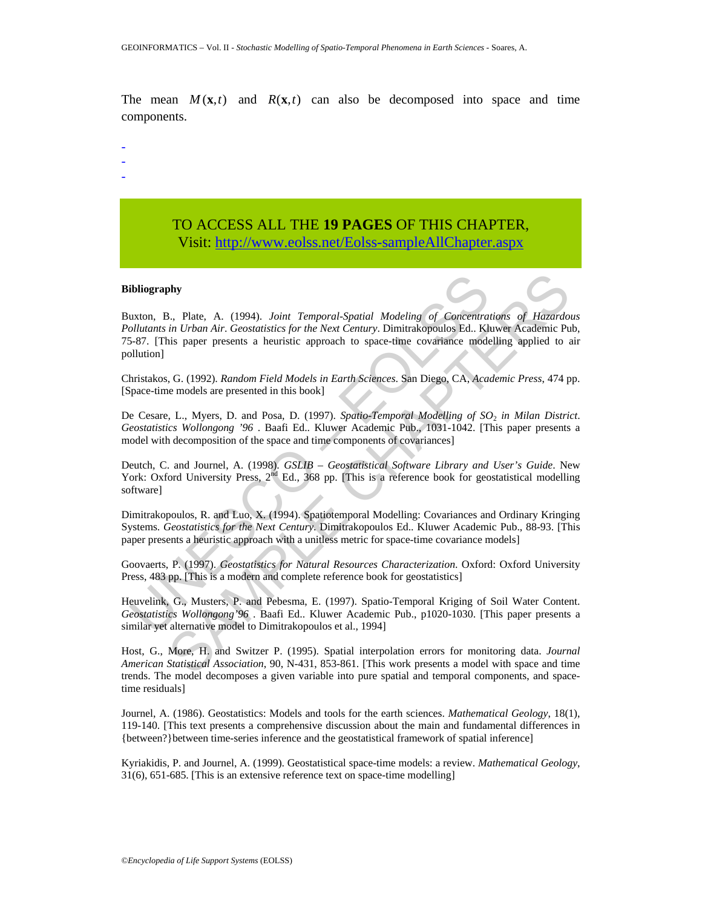The mean  $M(\mathbf{x},t)$  and  $R(\mathbf{x},t)$  can also be decomposed into space and time components.

- -
- -
- -

## TO ACCESS ALL THE **19 PAGES** OF THIS CHAPTER, Visit[: http://www.eolss.net/Eolss-sampleAllChapter.aspx](https://www.eolss.net/ebooklib/sc_cart.aspx?File=E6-64-03-04)

#### **Bibliography**

**ibliography**<br>
uxton, B., Plate, A. (1994). Joint *Temporal-Spatial Modeling of Concentral*<br>
ultitants in Urban Air. Geostatistics for the Next Century. Dimitrakopoulos Ed. Kh<br>
5-87. [This paper presents a heuristic appro **sh,**<br>
State, A. (1994). Joint Temporal-Spatial Modeling of Concentrations of Hazardon<br>
in Urban Air. Geostatistics for the Next Century. Dimitrakopoulos Ed. Kluwer Academic Pu<br>
is paper presents a heuristic approach to s Buxton, B., Plate, A. (1994). *Joint Temporal*-*Spatial Modeling of Concentrations of Hazardous Pollutants in Urban Air*. *Geostatistics for the Next Century*. Dimitrakopoulos Ed.. Kluwer Academic Pub, 75-87. [This paper presents a heuristic approach to space-time covariance modelling applied to air pollution]

Christakos, G. (1992). *Random Field Models in Earth Sciences*. San Diego, CA, *Academic Press*, 474 pp. [Space-time models are presented in this book]

De Cesare, L., Myers, D. and Posa, D. (1997). *Spatio*-*Temporal Modelling of SO*2 *in Milan District*. *Geostatistics Wollongong '96* . Baafi Ed.. Kluwer Academic Pub., 1031-1042. [This paper presents a model with decomposition of the space and time components of covariances]

Deutch, C. and Journel, A. (1998). *GSLIB – Geostatistical Software Library and User's Guide*. New York: Oxford University Press, 2<sup>nd</sup> Ed., 368 pp. [This is a reference book for geostatistical modelling software]

Dimitrakopoulos, R. and Luo, X. (1994). Spatiotemporal Modelling: Covariances and Ordinary Kringing Systems. *Geostatistics for the Next Century*. Dimitrakopoulos Ed.. Kluwer Academic Pub., 88-93. [This paper presents a heuristic approach with a unitless metric for space-time covariance models]

Goovaerts, P. (1997). *Geostatistics for Natural Resources Characterization*. Oxford: Oxford University Press, 483 pp. [This is a modern and complete reference book for geostatistics]

Heuvelink, G., Musters, P. and Pebesma, E. (1997). Spatio-Temporal Kriging of Soil Water Content. *Geostatistics Wollongong'96* . Baafi Ed.. Kluwer Academic Pub., p1020-1030. [This paper presents a similar yet alternative model to Dimitrakopoulos et al., 1994]

Host, G., More, H. and Switzer P. (1995). Spatial interpolation errors for monitoring data. *Journal American Statistical Association*, 90, N-431, 853-861. [This work presents a model with space and time trends. The model decomposes a given variable into pure spatial and temporal components, and spacetime residuals]

Journel, A. (1986). Geostatistics: Models and tools for the earth sciences. *Mathematical Geology*, 18(1), 119-140. [This text presents a comprehensive discussion about the main and fundamental differences in {between?}between time-series inference and the geostatistical framework of spatial inference]

Kyriakidis, P. and Journel, A. (1999). Geostatistical space-time models: a review. *Mathematical Geology*, 31(6), 651-685. [This is an extensive reference text on space-time modelling]